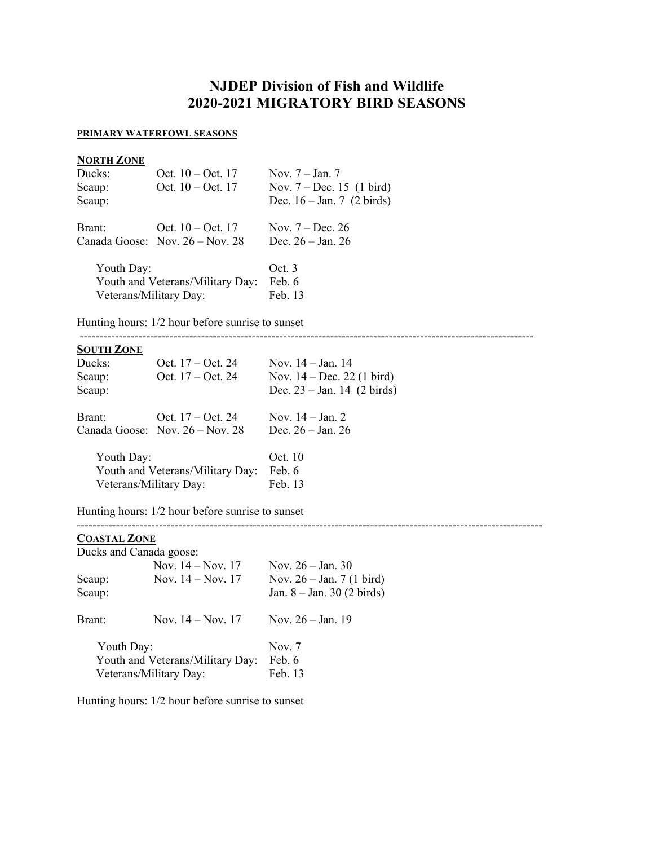# **NJDEP Division of Fish and Wildlife 2020-2021 MIGRATORY BIRD SEASONS**

--------------------------------------------------------------------------------------------------------------------

-----------------------------------------------------------------------------------------------------------------------

#### **PRIMARY WATERFOWL SEASONS**

# **NORTH ZONE**

| Ducks:     | Oct. $10 - \text{Oct.} 17$                | Nov. $7 - Jan. 7$            |
|------------|-------------------------------------------|------------------------------|
| Scaup:     | Oct. $10 - \text{Oct.} 17$                | Nov. $7 - Dec. 15$ (1 bird)  |
| Scaup:     |                                           | Dec. $16 - Jan. 7$ (2 birds) |
| Brant:     | Oct. $10 - \text{Oct.} 17$                | Nov. $7 - Dec. 26$           |
|            | Canada Goose: Nov. $26 - \text{Nov. } 28$ | Dec. $26 - Jan. 26$          |
| Youth Day: |                                           | Oct.3                        |

| Touth Day.                              | VV.     |
|-----------------------------------------|---------|
| Youth and Veterans/Military Day: Feb. 6 |         |
| Veterans/Military Day:                  | Feb. 13 |

Hunting hours: 1/2 hour before sunrise to sunset

#### **SOUTH ZONE**

| Ducks:<br>Scaup:<br>Scaup:                                               | Oct. $17 - \text{Oct. } 24$<br>Oct. $17 - Oct. 24$               | Nov. $14 - Jan. 14$<br>Nov. $14 - Dec. 22$ (1 bird)<br>Dec. $23 - Jan. 14$ (2 birds) |
|--------------------------------------------------------------------------|------------------------------------------------------------------|--------------------------------------------------------------------------------------|
| Brant:                                                                   | Oct. $17 - \text{Oct. } 24$<br>Canada Goose: Nov. $26 -$ Nov. 28 | Nov. $14 - Jan. 2$<br>Dec. $26 - Jan. 26$                                            |
| Youth Day:<br>Youth and Veterans/Military Day:<br>Veterans/Military Day: |                                                                  | Oct. 10<br>Feb. 6<br>Feb. 13                                                         |

Hunting hours: 1/2 hour before sunrise to sunset

#### **COASTAL ZONE**

| Ducks and Canada goose:          |                     |                              |
|----------------------------------|---------------------|------------------------------|
|                                  | Nov. $14 - Nov. 17$ | Nov. $26 - Jan. 30$          |
| Scaup:                           | Nov. $14 - Nov. 17$ | Nov. $26 - Jan. 7$ (1 bird)  |
| Scaup:                           |                     | Jan. $8 - Jan. 30$ (2 birds) |
| Brant:                           | Nov. $14 - Nov. 17$ | Nov. $26 - Jan. 19$          |
| Youth Day:                       |                     | Nov. 7                       |
| Youth and Veterans/Military Day: |                     | Feb. 6                       |
| Veterans/Military Day:           |                     | Feb. 13                      |

Hunting hours: 1/2 hour before sunrise to sunset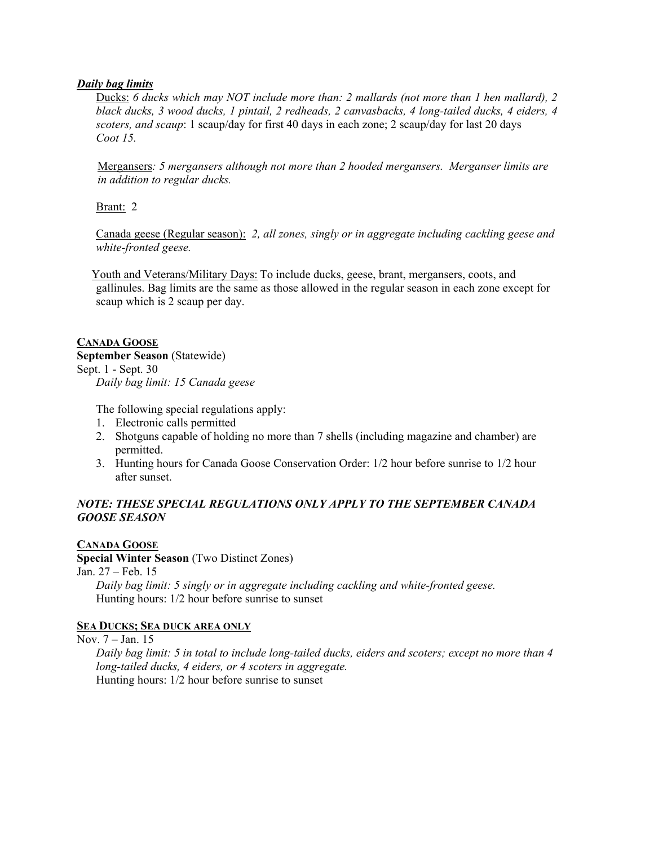# *Daily bag limits*

 Ducks: *6 ducks which may NOT include more than: 2 mallards (not more than 1 hen mallard), 2 black ducks, 3 wood ducks, 1 pintail, 2 redheads, 2 canvasbacks, 4 long-tailed ducks, 4 eiders, 4 scoters, and scaup*: 1 scaup/day for first 40 days in each zone; 2 scaup/day for last 20 days  *Coot 15.* 

Mergansers*: 5 mergansers although not more than 2 hooded mergansers. Merganser limits are in addition to regular ducks.*

# Brant: 2

Canada geese (Regular season): *2, all zones, singly or in aggregate including cackling geese and white-fronted geese.* 

 Youth and Veterans/Military Days: To include ducks, geese, brant, mergansers, coots, and gallinules. Bag limits are the same as those allowed in the regular season in each zone except for scaup which is 2 scaup per day.

# **CANADA GOOSE**

**September Season** (Statewide) Sept. 1 - Sept. 30 *Daily bag limit: 15 Canada geese* 

The following special regulations apply:

- 1. Electronic calls permitted
- 2. Shotguns capable of holding no more than 7 shells (including magazine and chamber) are permitted.
- 3. Hunting hours for Canada Goose Conservation Order: 1/2 hour before sunrise to 1/2 hour after sunset.

# *NOTE: THESE SPECIAL REGULATIONS ONLY APPLY TO THE SEPTEMBER CANADA GOOSE SEASON*

# **CANADA GOOSE**

**Special Winter Season** (Two Distinct Zones)

Jan. 27 – Feb. 15

*Daily bag limit: 5 singly or in aggregate including cackling and white-fronted geese.*  Hunting hours: 1/2 hour before sunrise to sunset

### **SEA DUCKS; SEA DUCK AREA ONLY**

Nov. 7 – Jan. 15

*Daily bag limit: 5 in total to include long-tailed ducks, eiders and scoters; except no more than 4 long-tailed ducks, 4 eiders, or 4 scoters in aggregate.*  Hunting hours: 1/2 hour before sunrise to sunset